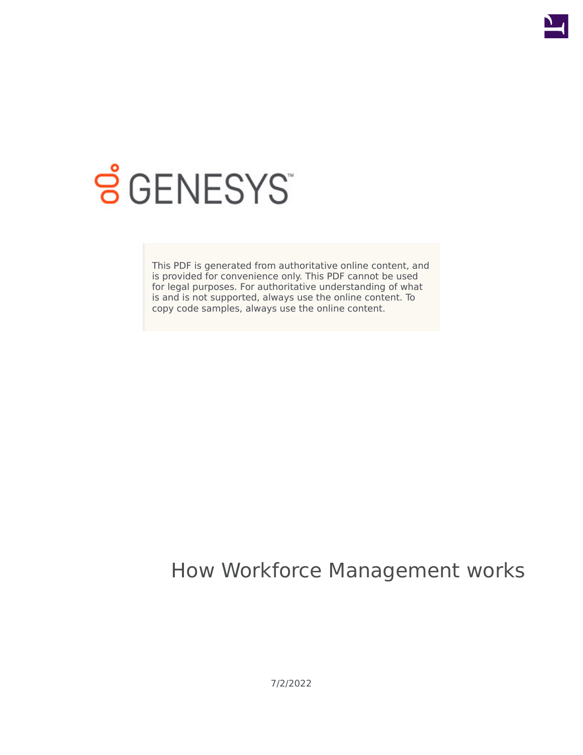

# **SGENESYS**

This PDF is generated from authoritative online content, and is provided for convenience only. This PDF cannot be used for legal purposes. For authoritative understanding of what is and is not supported, always use the online content. To copy code samples, always use the online content.

## How Workforce Management works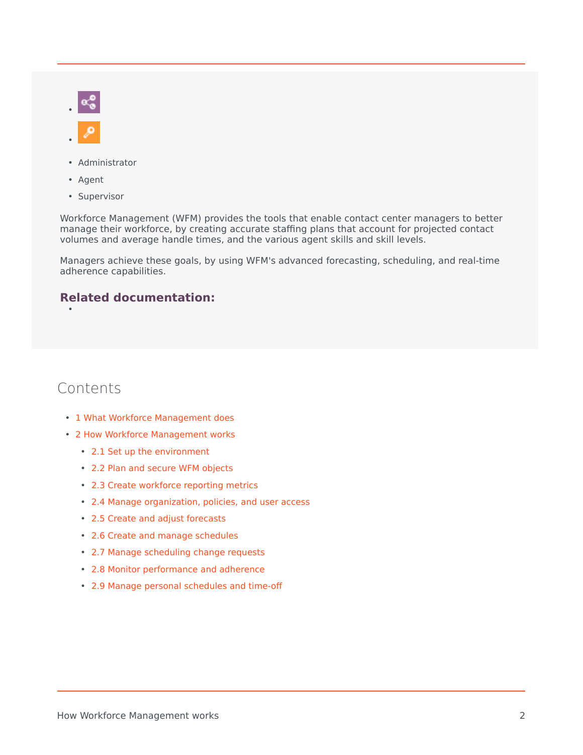- Administrator
- Agent
- Supervisor

Workforce Management (WFM) provides the tools that enable contact center managers to better manage their workforce, by creating accurate staffing plans that account for projected contact volumes and average handle times, and the various agent skills and skill levels.

Managers achieve these goals, by using WFM's advanced forecasting, scheduling, and real-time adherence capabilities.

### **Related documentation:**

## Contents

•

- 1 [What Workforce Management does](#page-2-0)
- 2 [How Workforce Management works](#page-2-1)
	- 2.1 [Set up the environment](#page-2-2)
	- 2.2 [Plan and secure WFM objects](#page-3-0)
	- 2.3 [Create workforce reporting metrics](#page-4-0)
	- 2.4 [Manage organization, policies, and user access](#page-4-1)
	- 2.5 [Create and adjust forecasts](#page-5-0)
	- 2.6 [Create and manage schedules](#page-6-0)
	- 2.7 [Manage scheduling change requests](#page-7-0)
	- 2.8 [Monitor performance and adherence](#page-8-0)
	- 2.9 [Manage personal schedules and time-off](#page-8-1)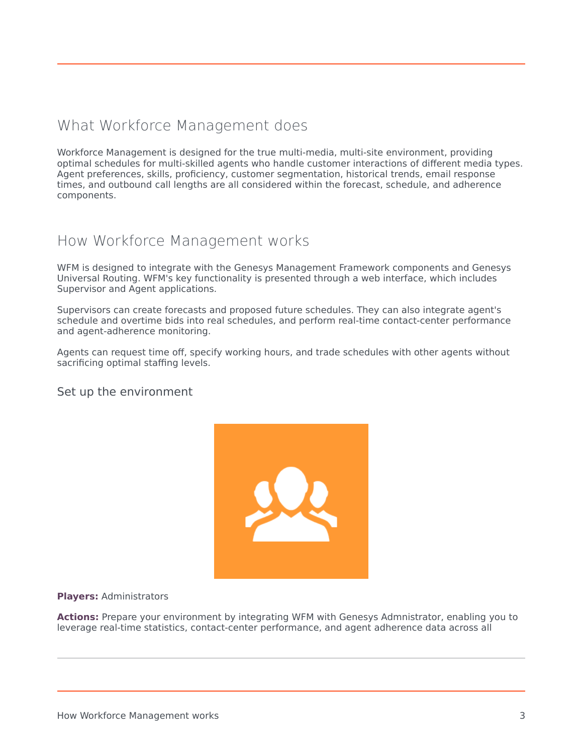## <span id="page-2-0"></span>What Workforce Management does

Workforce Management is designed for the true multi-media, multi-site environment, providing optimal schedules for multi-skilled agents who handle customer interactions of different media types. Agent preferences, skills, proficiency, customer segmentation, historical trends, email response times, and outbound call lengths are all considered within the forecast, schedule, and adherence components.

## <span id="page-2-1"></span>How Workforce Management works

WFM is designed to integrate with the Genesys Management Framework components and Genesys Universal Routing. WFM's key functionality is presented through a web interface, which includes Supervisor and Agent applications.

Supervisors can create forecasts and proposed future schedules. They can also integrate agent's schedule and overtime bids into real schedules, and perform real-time contact-center performance and agent-adherence monitoring.

Agents can request time off, specify working hours, and trade schedules with other agents without sacrificing optimal staffing levels.

#### <span id="page-2-2"></span>Set up the environment



#### **Players:** Administrators

**Actions:** Prepare your environment by integrating WFM with Genesys Admnistrator, enabling you to leverage real-time statistics, contact-center performance, and agent adherence data across all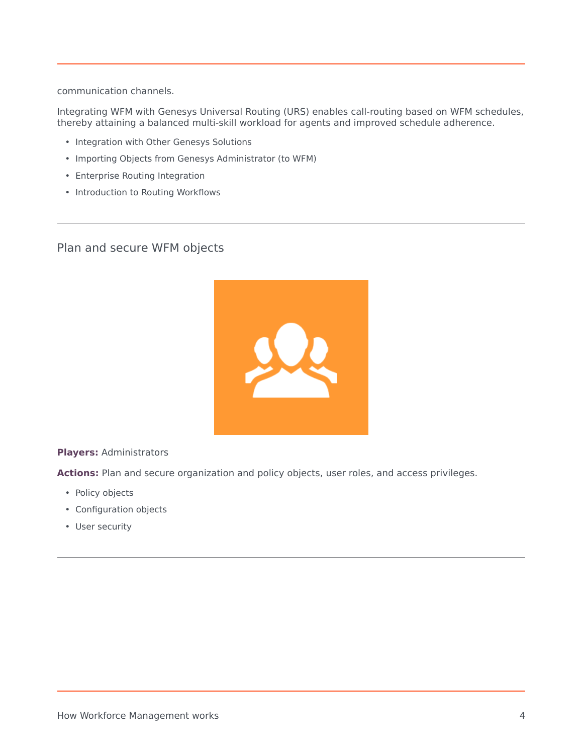communication channels.

Integrating WFM with Genesys Universal Routing (URS) enables call-routing based on WFM schedules, thereby attaining a balanced multi-skill workload for agents and improved schedule adherence.

- Integration with Other Genesys Solutions
- Importing Objects from Genesys Administrator (to WFM)
- Enterprise Routing Integration
- Introduction to Routing Workflows

<span id="page-3-0"></span>Plan and secure WFM objects



**Players:** Administrators

**Actions:** Plan and secure organization and policy objects, user roles, and access privileges.

- Policy objects
- Configuration objects
- User security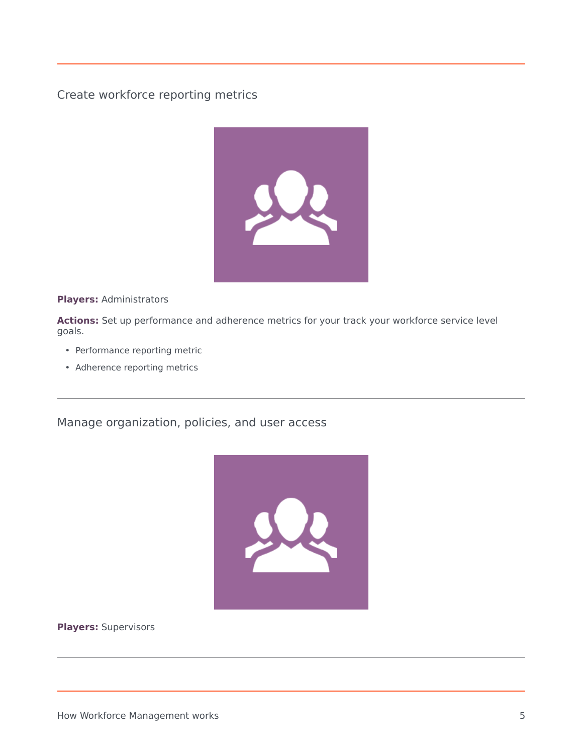<span id="page-4-0"></span>Create workforce reporting metrics



**Players:** Administrators

**Actions:** Set up performance and adherence metrics for your track your workforce service level goals.

- Performance reporting metric
- Adherence reporting metrics

<span id="page-4-1"></span>Manage organization, policies, and user access



**Players:** Supervisors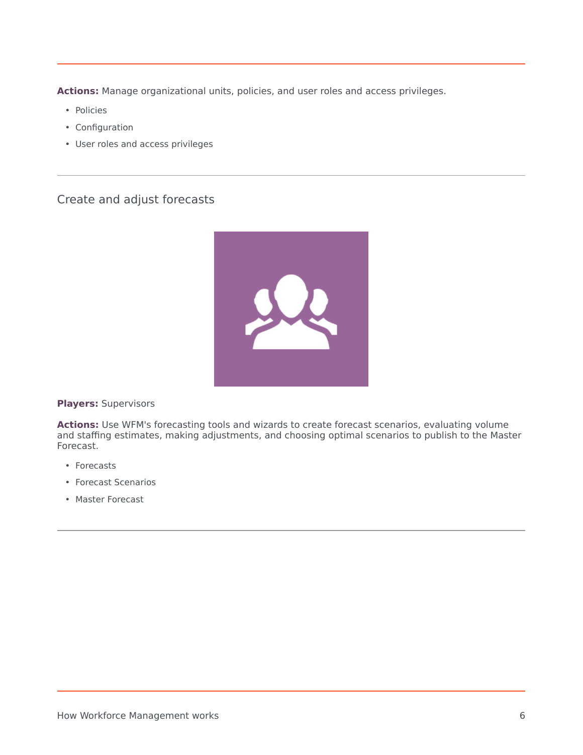**Actions:** Manage organizational units, policies, and user roles and access privileges.

- Policies
- Configuration
- User roles and access privileges

## <span id="page-5-0"></span>Create and adjust forecasts



#### **Players:** Supervisors

**Actions:** Use WFM's forecasting tools and wizards to create forecast scenarios, evaluating volume and staffing estimates, making adjustments, and choosing optimal scenarios to publish to the Master Forecast.

- Forecasts
- Forecast Scenarios
- Master Forecast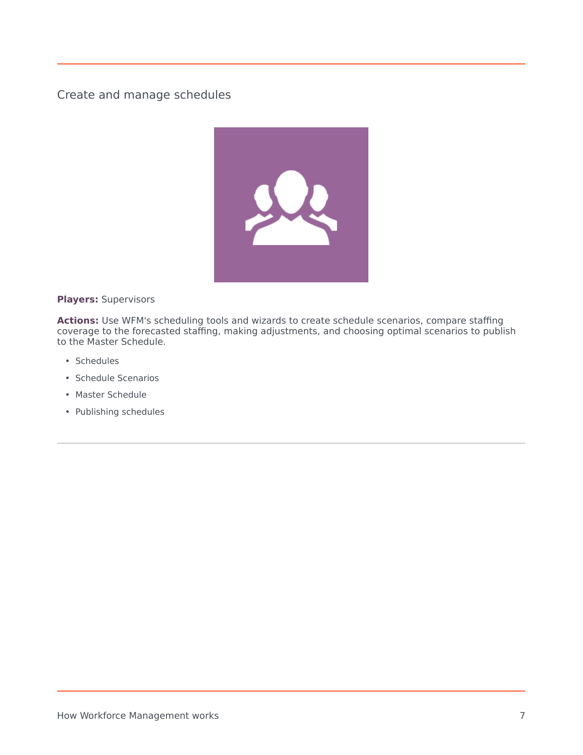<span id="page-6-0"></span>Create and manage schedules



**Players:** Supervisors

**Actions:** Use WFM's scheduling tools and wizards to create schedule scenarios, compare staffing coverage to the forecasted staffing, making adjustments, and choosing optimal scenarios to publish to the Master Schedule.

- Schedules
- Schedule Scenarios
- Master Schedule
- Publishing schedules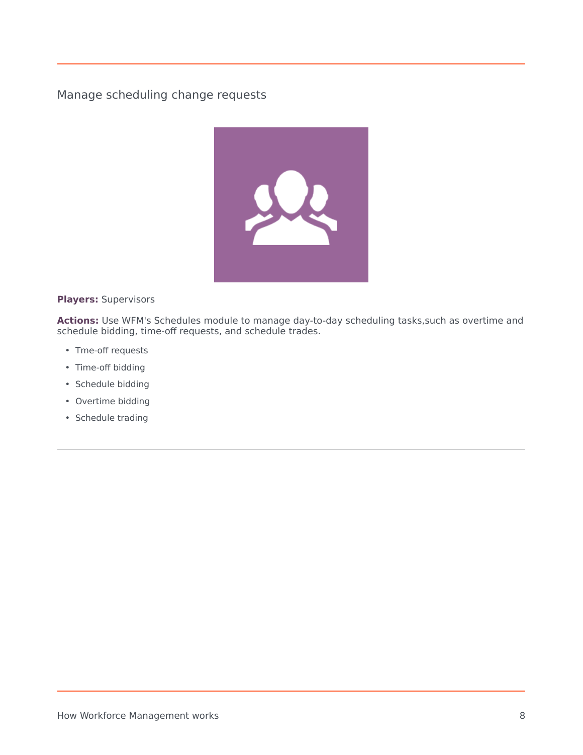<span id="page-7-0"></span>Manage scheduling change requests



**Players:** Supervisors

Actions: Use WFM's Schedules module to manage day-to-day scheduling tasks, such as overtime and schedule bidding, time-off requests, and schedule trades.

- Tme-off requests
- Time-off bidding
- Schedule bidding
- Overtime bidding
- Schedule trading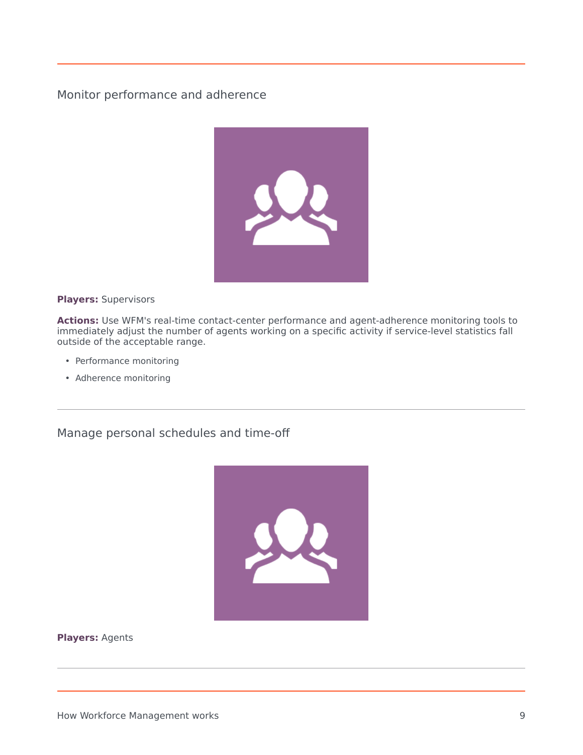<span id="page-8-0"></span>Monitor performance and adherence



**Players:** Supervisors

**Actions:** Use WFM's real-time contact-center performance and agent-adherence monitoring tools to immediately adjust the number of agents working on a specific activity if service-level statistics fall outside of the acceptable range.

- Performance monitoring
- Adherence monitoring

<span id="page-8-1"></span>Manage personal schedules and time-off



**Players:** Agents